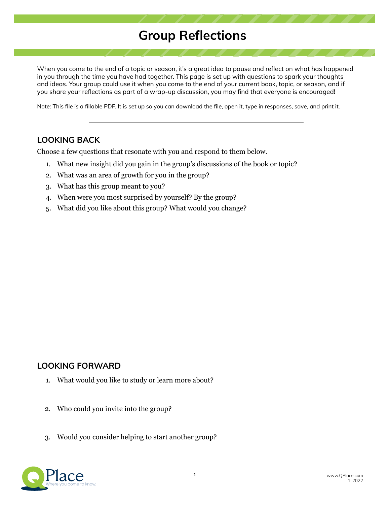## **Group Reflections**

When you come to the end of a topic or season, it's a great idea to pause and reflect on what has happened in you through the time you have had together. This page is set up with questions to spark your thoughts and ideas. Your group could use it when you come to the end of your current book, topic, or season, and if you share your reflections as part of a wrap-up discussion, you may find that everyone is encouraged!

Note: This file is a fillable PDF. It is set up so you can download the file, open it, type in responses, save, and print it.

## **LOOKING BACK**

Choose a few questions that resonate with you and respond to them below.

- 1. What new insight did you gain in the group's discussions of the book or topic?
- 2. What was an area of growth for you in the group?
- 3. What has this group meant to you?
- 4. When were you most surprised by yourself? By the group?
- 5. What did you like about this group? What would you change?

## **LOOKING FORWARD**

- 1. What would you like to study or learn more about?
- 2. Who could you invite into the group?
- 3. Would you consider helping to start another group?